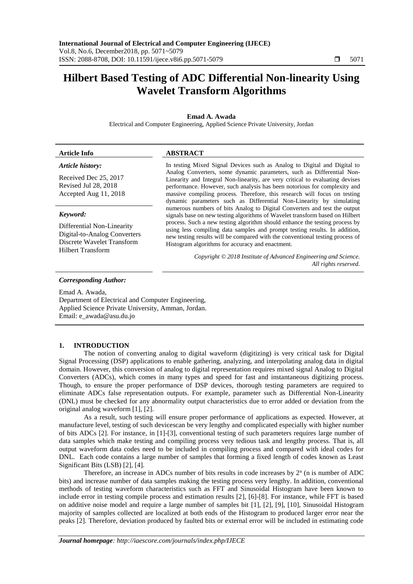# **Hilbert Based Testing of ADC Differential Non-linearity Using Wavelet Transform Algorithms**

# **Emad A. Awada**

Electrical and Computer Engineering, Applied Science Private University, Jordan

## **Article Info ABSTRACT**

# *Article history:*

Received Dec 25, 2017 Revised Jul 28, 2018 Accepted Aug 11, 2018

## *Keyword:*

Differential Non-Linearity Digital-to-Analog Converters Discrete Wavelet Transform Hilbert Transform

In testing Mixed Signal Devices such as Analog to Digital and Digital to Analog Converters, some dynamic parameters, such as Differential Non-Linearity and Integral Non-linearity, are very critical to evaluating devises performance. However, such analysis has been notorious for complexity and massive compiling process. Therefore, this research will focus on testing dynamic parameters such as Differential Non-Linearity by simulating numerous numbers of bits Analog to Digital Converters and test the output signals base on new testing algorithms of Wavelet transform based on Hilbert process. Such a new testing algorithm should enhance the testing process by using less compiling data samples and prompt testing results. In addition, new testing results will be compared with the conventional testing process of Histogram algorithms for accuracy and enactment.

> *Copyright © 2018 Institute of Advanced Engineering and Science. All rights reserved.*

#### *Corresponding Author:*

Emad A. Awada, Department of Electrical and Computer Engineering, Applied Science Private University, Amman, Jordan. Email: e\_awada@asu.du.jo

## **1. INTRODUCTION**

The notion of converting analog to digital waveform (digitizing) is very critical task for Digital Signal Processing (DSP) applications to enable gathering, analyzing, and interpolating analog data in digital domain. However, this conversion of analog to digital representation requires mixed signal Analog to Digital Converters (ADCs), which comes in many types and speed for fast and instantaneous digitizing process. Though, to ensure the proper performance of DSP devices, thorough testing parameters are required to eliminate ADCs false representation outputs. For example, parameter such as Differential Non-Linearity (DNL) must be checked for any abnormality output characteristics due to error added or deviation from the original analog waveform [1], [2].

As a result, such testing will ensure proper performance of applications as expected. However, at manufacture level, testing of such devicescan be very lengthy and complicated especially with higher number of bits ADCs [2]. For instance, in [1]-[3], conventional testing of such parameters requires large number of data samples which make testing and compiling process very tedious task and lengthy process. That is, all output waveform data codes need to be included in compiling process and compared with ideal codes for DNL. Each code contains a large number of samples that forming a fixed length of codes known as Least Significant Bits (LSB) [2], [4].

Therefore, an increase in ADCs number of bits results in code increases by  $2<sup>n</sup>$  (n is number of ADC bits) and increase number of data samples making the testing process very lengthy. In addition, conventional methods of testing waveform characteristics such as FFT and Sinusoidal Histogram have been known to include error in testing compile process and estimation results [2], [6]-[8]. For instance, while FFT is based on additive noise model and require a large number of samples bit [1], [2], [9], [10], Sinusoidal Histogram majority of samples collected are localized at both ends of the Histogram to produced larger error near the peaks [2]. Therefore, deviation produced by faulted bits or external error will be included in estimating code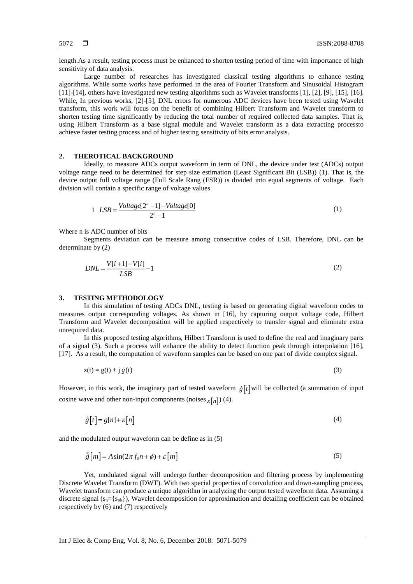length.As a result, testing process must be enhanced to shorten testing period of time with importance of high sensitivity of data analysis.

Large number of researches has investigated classical testing algorithms to enhance testing algorithms. While some works have performed in the area of Fourier Transform and Sinusoidal Histogram [11]-[14], others have investigated new testing algorithms such as Wavelet transforms [1], [2], [9], [15], [16]. While, In previous works, [2]-[5], DNL errors for numerous ADC devices have been tested using Wavelet transform, this work will focus on the benefit of combining Hilbert Transform and Wavelet transform to shorten testing time significantly by reducing the total number of required collected data samples. That is, using Hilbert Transform as a base signal module and Wavelet transform as a data extracting processto achieve faster testing process and of higher testing sensitivity of bits error analysis.

# **2. THEROTICAL BACKGROUND**

Ideally, to measure ADCs output waveform in term of DNL, the device under test (ADCs) output voltage range need to be determined for step size estimation (Least Significant Bit (LSB)) (1). That is, the device output full voltage range (Full Scale Rang (FSR)) is divided into equal segments of voltage. Each division will contain a specific range of voltage values

$$
1 \quad LSB = \frac{Voltage[2^n - 1] - Voltage[0]}{2^n - 1} \tag{1}
$$

Where n is ADC number of bits

Segments deviation can be measure among consecutive codes of LSB. Therefore, DNL can be determinate by (2)

$$
DNL = \frac{V[i+1] - V[i]}{LSB} - 1\tag{2}
$$

#### **3. TESTING METHODOLOGY**

In this simulation of testing ADCs DNL, testing is based on generating digital waveform codes to measures output corresponding voltages. As shown in [16], by capturing output voltage code, Hilbert Transform and Wavelet decomposition will be applied respectively to transfer signal and eliminate extra unrequired data.

In this proposed testing algorithms, Hilbert Transform is used to define the real and imaginary parts of a signal (3). Such a process will enhance the ability to detect function peak through interpolation [16], [17]. As a result, the computation of waveform samples can be based on one part of divide complex signal.

$$
z(t) = g(t) + j \tilde{g}(t)
$$
 (3)

However, in this work, the imaginary part of tested waveform  $\hat{g}[t]$  will be collected (a summation of input cosine wave and other non-input components (noises  $_{\mathcal{E}}[n]$ ) (4).

$$
\hat{g}[t] = g[n] + \varepsilon[n] \tag{4}
$$

and the modulated output waveform can be define as in (5)

$$
\tilde{\hat{g}}[m] = A\sin(2\pi f_0 n + \phi) + \varepsilon[m] \tag{5}
$$

Yet, modulated signal will undergo further decomposition and filtering process by implementing Discrete Wavelet Transform (DWT). With two special properties of convolution and down-sampling process, Wavelet transform can produce a unique algorithm in analyzing the output tested waveform data. Assuming a discrete signal  $(s_n = \{s_{nk}\})$ , Wavelet decomposition for approximation and detailing coefficient can be obtained respectively by (6) and (7) respectively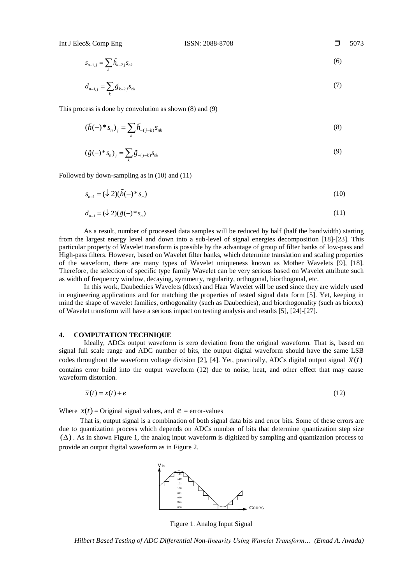$$
s_{n-1,j} = \sum_{k} \tilde{h}_{k-2,j} s_{nk} \tag{6}
$$

$$
d_{n-1,j} = \sum_{k} \tilde{g}_{k-2,j} s_{nk} \tag{7}
$$

This process is done by convolution as shown (8) and (9)

$$
(\tilde{h}(-)^*s_n)_j = \sum_k \tilde{h}_{-(j-k)} s_{nk} \tag{8}
$$

$$
\left(\tilde{g}(-)^*s_n\right)_j = \sum_k \tilde{g}_{-(j-k)}s_{nk} \tag{9}
$$

Followed by down-sampling as in (10) and (11)

$$
s_{n-1} = (\downarrow 2)(\tilde{h}(-)^*s_n) \tag{10}
$$

$$
d_{n-1} = (\downarrow 2)(\tilde{g}(-)^*s_n) \tag{11}
$$

As a result, number of processed data samples will be reduced by half (half the bandwidth) starting from the largest energy level and down into a sub-level of signal energies decomposition [18]-[23]. This particular property of Wavelet transform is possible by the advantage of group of filter banks of low-pass and High-pass filters. However, based on Wavelet filter banks, which determine translation and scaling properties of the waveform, there are many types of Wavelet uniqueness known as Mother Wavelets [9], [18]. Therefore, the selection of specific type family Wavelet can be very serious based on Wavelet attribute such as width of frequency window, decaying, symmetry, regularity, orthogonal, biorthogonal, etc.

In this work, Daubechies Wavelets (dbxx) and Haar Wavelet will be used since they are widely used in engineering applications and for matching the properties of tested signal data form [5]. Yet, keeping in mind the shape of wavelet families, orthogonality (such as Daubechies), and biorthogonality (such as biorxx) of Wavelet transform will have a serious impact on testing analysis and results [5], [24]-[27].

# **4. COMPUTATION TECHNIQUE**

Ideally, ADCs output waveform is zero deviation from the original waveform. That is, based on signal full scale range and ADC number of bits, the output digital waveform should have the same LSB codes throughout the waveform voltage division [2], [4]. Yet, practically, ADCs digital output signal  $\bar{x}(t)$ contains error build into the output waveform (12) due to noise, heat, and other effect that may cause waveform distortion.

$$
\overline{x}(t) = x(t) + e \tag{12}
$$

Where  $x(t)$  = Original signal values, and  $e$  = error-values

That is, output signal is a combination of both signal data bits and error bits. Some of these errors are due to quantization process which depends on ADCs number of bits that determine quantization step size  $(\Delta)$ . As in shown Figure 1, the analog input waveform is digitized by sampling and quantization process to provide an output digital waveform as in Figure 2.

Codes 111 110 101 100 011 010 001 000 V-in

Figure 1. Analog Input Signal

*Hilbert Based Testing of ADC Differential Non-linearity Using Wavelet Transform… (Emad A. Awada)*

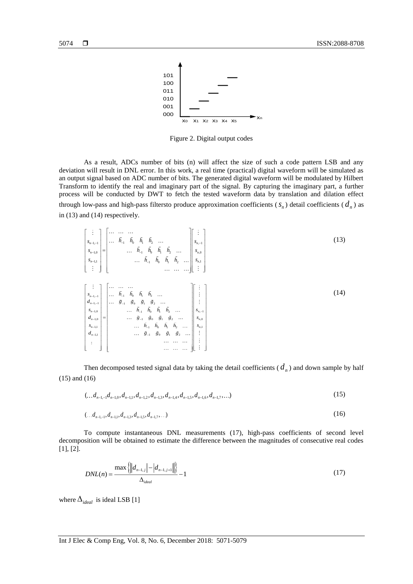

Figure 2. Digital output codes

As a result, ADCs number of bits (n) will affect the size of such a code pattern LSB and any deviation will result in DNL error. In this work, a real time (practical) digital waveform will be simulated as an output signal based on ADC number of bits. The generated digital waveform will be modulated by Hilbert Transform to identify the real and imaginary part of the signal. By capturing the imaginary part, a further process will be conducted by DWT to fetch the tested waveform data by translation and dilation effect through low-pass and high-pass filtersto produce approximation coefficients  $(s_n)$  detail coefficients  $(d_n)$  as in (13) and (14) respectively.

1, 1 , 1 1 0 1 2 1,0 1 0 1 2 ,0 1,1 ,1 1 0 1 2 *n n n n n n s s h h h h s h h h h s s s h h h h* (13) 1, 1 1 0 1 2 1, 1 1 0 1 2 1,0 1 0 1 2 1,0 1 0 1 2 1,1 1 0 1 2 1,1 1 0 1 2 *n n n n n n <sup>s</sup> h h h h d g g g g <sup>s</sup> h h h h d g g g g <sup>s</sup> h h h h d g g g g* , 1 ,0 ,1 *n n s s s* (14)

Then decomposed tested signal data by taking the detail coefficients  $(d_n)$  and down sample by half (15) and (16)

$$
(\ldots d_{n-1,-1}d_{n-1,0}, d_{n-1,1}, d_{n-1,2}, d_{n-1,3}, d_{n-1,4}, d_{n-1,5}, d_{n-1,6}, d_{n-1,7}, \ldots) \tag{15}
$$

$$
(\ldots d_{n-1,-1}, d_{n-1,1}, d_{n-1,3}, d_{n-1,5}, d_{n-1,7}, \ldots) \tag{16}
$$

To compute instantaneous DNL measurements (17), high-pass coefficients of second level decomposition will be obtained to estimate the difference between the magnitudes of consecutive real codes [1], [2].

$$
DNL(n) = \frac{\max\{||d_{n-1,j}|-|d_{n-1,j+1}||\}}{\Delta_{ideal}} - 1
$$
\n(17)

where  $\Delta_{ideal}$  is ideal LSB [1]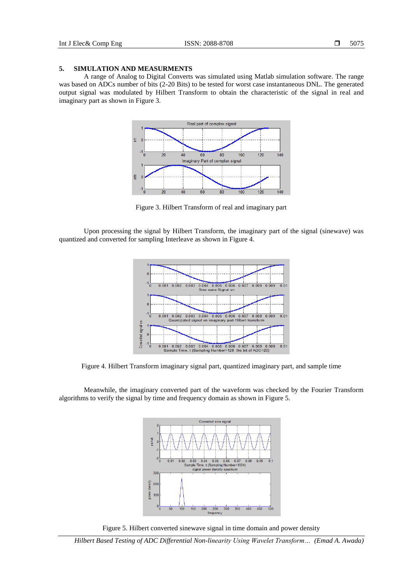# **5. SIMULATION AND MEASURMENTS**

A range of Analog to Digital Converts was simulated using Matlab simulation software. The range was based on ADCs number of bits (2-20 Bits) to be tested for worst case instantaneous DNL. The generated output signal was modulated by Hilbert Transform to obtain the characteristic of the signal in real and imaginary part as shown in Figure 3.



Figure 3. Hilbert Transform of real and imaginary part

Upon processing the signal by Hilbert Transform, the imaginary part of the signal (sinewave) was quantized and converted for sampling Interleave as shown in Figure 4.



Figure 4. Hilbert Transform imaginary signal part, quantized imaginary part, and sample time

Meanwhile, the imaginary converted part of the waveform was checked by the Fourier Transform algorithms to verify the signal by time and frequency domain as shown in Figure 5.



Figure 5. Hilbert converted sinewave signal in time domain and power density

*Hilbert Based Testing of ADC Differential Non-linearity Using Wavelet Transform… (Emad A. Awada)*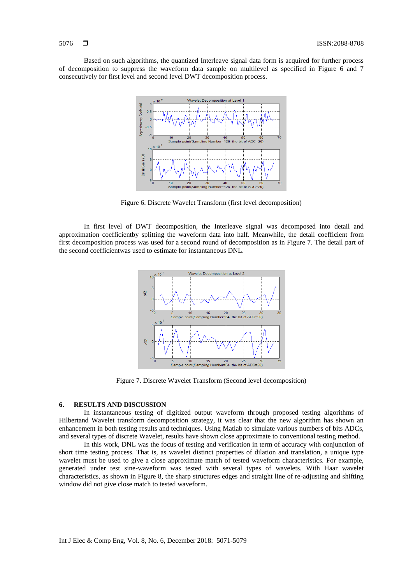Based on such algorithms, the quantized Interleave signal data form is acquired for further process of decomposition to suppress the waveform data sample on multilevel as specified in Figure 6 and 7 consecutively for first level and second level DWT decomposition process.



Figure 6. Discrete Wavelet Transform (first level decomposition)

In first level of DWT decomposition, the Interleave signal was decomposed into detail and approximation coefficientby splitting the waveform data into half. Meanwhile, the detail coefficient from first decomposition process was used for a second round of decomposition as in Figure 7. The detail part of the second coefficientwas used to estimate for instantaneous DNL.



Figure 7. Discrete Wavelet Transform (Second level decomposition)

## **6. RESULTS AND DISCUSSION**

In instantaneous testing of digitized output waveform through proposed testing algorithms of Hilbertand Wavelet transform decomposition strategy, it was clear that the new algorithm has shown an enhancement in both testing results and techniques. Using Matlab to simulate various numbers of bits ADCs, and several types of discrete Wavelet, results have shown close approximate to conventional testing method.

In this work, DNL was the focus of testing and verification in term of accuracy with conjunction of short time testing process. That is, as wavelet distinct properties of dilation and translation, a unique type wavelet must be used to give a close approximate match of tested waveform characteristics. For example, generated under test sine-waveform was tested with several types of wavelets. With Haar wavelet characteristics, as shown in Figure 8, the sharp structures edges and straight line of re-adjusting and shifting window did not give close match to tested waveform.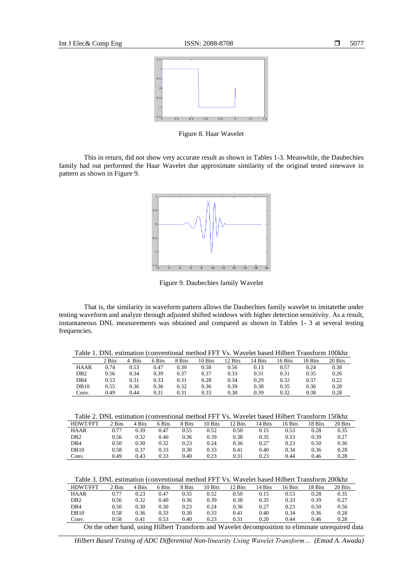

Figure 8. Haar Wavelet

This in return, did not show very accurate result as shown in Tables 1-3. Meanwhile, the Daubechies family had out performed the Haar Wavelet due approximate similarity of the original tested sinewave in pattern as shown in Figure 9.



Figure 9. Daubechies family Wavelet

That is, the similarity in waveform pattern allows the Daubechies family wavelet to imitatethe under testing waveform and analyze through adjusted shifted windows with higher detection sensitivity. As a result, instantaneous DNL measurements was obtained and compared as shown in Tables 1- 3 at several testing frequencies.

Table 1. DNL estimation (conventional method FFT Vs. Wavelet based Hilbert Transform 100khz

|                 | 2 Bits | Bits | 6 Bits | 8 Bits | 10 Bits | <sup>1</sup> 2 Bits | 14 Bits | 16 Bits | 18 Bits | 20 Bits |
|-----------------|--------|------|--------|--------|---------|---------------------|---------|---------|---------|---------|
| <b>HAAR</b>     | 0.74   | 0.53 | 0.47   | 0.39   | 0.58    | 0.56                | 0.13    | 0.57    | 0.24    | 0.38    |
| DB <sub>2</sub> | 0.56   | 0.34 | 0.39   | 0.37   | 0.37    | 0.33                | 0.31    | 0.31    | 0.35    | 0.26    |
| DB4             | 0.53   | 0.31 | 0.33   | 0.31   | 0.28    | 0.34                | 0.29    | 0.32    | 0.37    | 0.22    |
| <b>DB10</b>     | 0.55   | 0.36 | 0.36   | 0.32   | 0.36    | 0.39                | 0.38    | 0.35    | 0.36    | 0.28    |
| Conv.           | 0.49   | 0.44 | 0.31   | 0.31   | 0.33    | 0.38                | 0.39    | 0.32    | 0.38    | 0.28    |

| <b>HDWT/FFT</b> | 2 Bits | 4 Bits | 6 Bits | 8 Bits | 10 Bits | 12 Bits | 14 Bits | 16 Bits | 18 Bits | 20 Bits |
|-----------------|--------|--------|--------|--------|---------|---------|---------|---------|---------|---------|
| <b>HAAR</b>     | 0.77   | 0.39   | 0.47   | 0.55   | 0.52    | 0.50    | 0.15    | 0.53    | 0.28    | 0.35    |
| DB <sub>2</sub> | 0.56   | 0.32   | 0.40   | 0.36   | 0.39    | 0.38    | 0.35    | 0.33    | 0.39    | 0.27    |
| DB4             | 0.50   | 0.30   | 0.32   | 0.23   | 0.24    | 0.36    | 0.27    | 0.23    | 0.50    | 0.36    |
| DB10            | 0.58   | 0.37   | 0.33   | 0.30   | 0.33    | 0.41    | 0.40    | 0.34    | 0.36    | 0.28    |
| Conv.           | 0.49   | 0.43   | 0.33   | 0.40   | 0.23    | 0.31    | 0.23    | 0.44    | 0.46    | 0.28    |

Table 3. DNL estimation (conventional method FFT Vs. Wavelet based Hilbert Transform 200khz

| 2 Bits | 4 Bits | 6 Bits | 8 Bits | 10 Bits | 12 Bits | 14 Bits | 16 Bits | 18 Bits | 20 Bits |
|--------|--------|--------|--------|---------|---------|---------|---------|---------|---------|
| 0.77   | 0.23   | 0.47   | 0.35   | 0.52    | 0.50    | 0.15    | 0.53    | 0.28    | 0.35    |
| 0.56   | 0.32   | 0.40   | 0.36   | 0.39    | 0.38    | 0.35    | 0.33    | 0.39    | 0.27    |
| 0.50   | 0.30   | 0.30   | 0.23   | 0.24    | 0.36    | 0.27    | 0.23    | 0.50    | 0.56    |
| 0.58   | 0.36   | 0.33   | 0.30   | 0.33    | 0.41    | 0.40    | 0.34    | 0.36    | 0.28    |
| 0.58   | 0.41   | 0.53   | 0.40   | 0.23    | 0.31    | 0.20    | 0.44    | 0.46    | 0.28    |
|        |        |        |        |         |         |         |         |         |         |

On the other hand, using Hilbert Transform and Wavelet decomposition to eliminate unrequired data

*Hilbert Based Testing of ADC Differential Non-linearity Using Wavelet Transform… (Emad A. Awada)*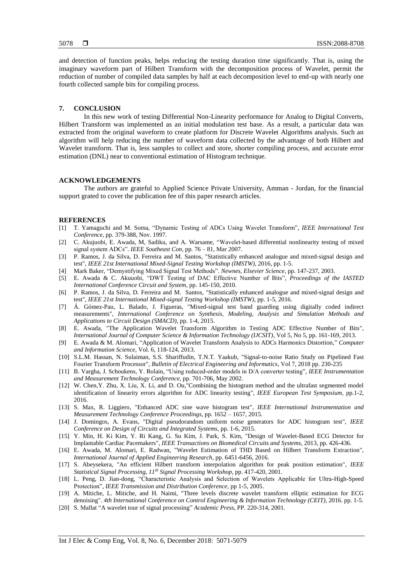and detection of function peaks, helps reducing the testing duration time significantly. That is, using the imaginary waveform part of Hilbert Transform with the decomposition process of Wavelet, permit the reduction of number of compiled data samples by half at each decomposition level to end-up with nearly one fourth collected sample bits for compiling process.

## **7. CONCLUSION**

In this new work of testing Differential Non-Linearity performance for Analog to Digital Converts, Hilbert Transform was implemented as an initial modulation test base. As a result, a particular data was extracted from the original waveform to create platform for Discrete Wavelet Algorithms analysis. Such an algorithm will help reducing the number of waveform data collected by the advantage of both Hilbert and Wavelet transform. That is, less samples to collect and store, shorter compiling process, and accurate error estimation (DNL) near to conventional estimation of Histogram technique.

## **ACKNOWLEDGEMENTS**

The authors are grateful to Applied Science Private University, Amman - Jordan, for the financial support grated to cover the publication fee of this paper research articles.

## **REFERENCES**

- [1] T. Yamaguchi and M. Soma, "Dynamic Testing of ADCs Using Wavelet Transform", *IEEE International Test Conference*, pp. 379-388, Nov. 1997.
- [2] C. Akujuobi, E. Awada, M, Sadiku, and A. Warsame, "Wavelet-based differential nonlinearity testing of mixed signal system ADCs". *IEEE [Southeast](http://ieeexplore.ieee.org/xpl/RecentCon.jsp?punumber=4147361) Con,* pp. 76 – 81, Mar 2007.
- [3] [P. Ramos,](http://ieeexplore.ieee.org/search/searchresult.jsp?searchWithin=%22Authors%22:.QT.Pedro%20L.%20Ramos.QT.&newsearch=true) [J. da Silva,](http://ieeexplore.ieee.org/search/searchresult.jsp?searchWithin=%22Authors%22:.QT.Jose%20Machado%20da%20Silva.QT.&newsearch=true) [D. Ferreira](http://ieeexplore.ieee.org/search/searchresult.jsp?searchWithin=%22Authors%22:.QT.Diogo%20R.%20Ferreira.QT.&newsearch=true) and M. [Santos,](http://ieeexplore.ieee.org/search/searchresult.jsp?searchWithin=%22Authors%22:.QT.Marcelino%20B.%20Santos.QT.&newsearch=true) "Statistically enhanced analogue and mixed-signal design and test", *[IEEE 21st International Mixed-Signal Testing Workshop \(IMSTW\)](http://ieeexplore.ieee.org/xpl/mostRecentIssue.jsp?punumber=7524146)*, 2016, pp. 1-5.
- [4] Mark Baker, "Demystifying Mixed Signal Test Methods". *Newnes, Elsevier Science*, pp. 147-237, 2003.
- [5] E. Awada & C. Akuuobi, "DWT Testing of DAC Effective Number of Bits", *Proceedings of the IASTED International Conference Circuit and System*, pp. 145-150, 2010.
- [6] [P. Ramos,](http://ieeexplore.ieee.org/search/searchresult.jsp?searchWithin=%22Authors%22:.QT.Pedro%20L.%20Ramos.QT.&newsearch=true) [J. da Silva,](http://ieeexplore.ieee.org/search/searchresult.jsp?searchWithin=%22Authors%22:.QT.Jose%20Machado%20da%20Silva.QT.&newsearch=true) [D. Ferreira](http://ieeexplore.ieee.org/search/searchresult.jsp?searchWithin=%22Authors%22:.QT.Diogo%20R.%20Ferreira.QT.&newsearch=true) and [M. Santos,](http://ieeexplore.ieee.org/search/searchresult.jsp?searchWithin=%22Authors%22:.QT.Marcelino%20B.%20Santos.QT.&newsearch=true) "Statistically enhanced analogue and mixed-signal design and test", *[IEEE 21st International Mixed-signal Testing Workshop \(IMSTW\)](http://ieeexplore.ieee.org/xpl/mostRecentIssue.jsp?punumber=7524146)*, pp. 1-5, 2016.
- [7] [Á. Gómez-Pau,](http://ieeexplore.ieee.org/search/searchresult.jsp?searchWithin=%22Authors%22:.QT.%C3%81lvaro%20G%C3%B3mez-Pau.QT.&newsearch=true) [L. Balado,](http://ieeexplore.ieee.org/search/searchresult.jsp?searchWithin=%22Authors%22:.QT.Luz%20Balado.QT.&newsearch=true) [J. Figueras,](http://ieeexplore.ieee.org/search/searchresult.jsp?searchWithin=%22Authors%22:.QT.Joan%20Figueras.QT.&newsearch=true) "Mixed-signal test band guarding using digitally coded indirect measurements", *[International Conference on Synthesis, Modeling, Analysis and Simulation Methods and](http://ieeexplore.ieee.org/xpl/mostRecentIssue.jsp?punumber=7297766)  [Applications to Circuit Design \(SMACD\)](http://ieeexplore.ieee.org/xpl/mostRecentIssue.jsp?punumber=7297766)*, pp. 1-4, 2015.
- [8] E. Awada, "The Application Wavelet Transform Algorithm in Testing ADC Effective Number of Bits", *International Journal of Computer Science & Information Technology (IJCSIT),* Vol 5, No 5, pp. 161-169, 2013.
- [9] E. Awada & M. Alomari, "Application of Wavelet Transform Analysis to ADCs Harmonics Distortion," *Computer and Information Science,* Vol. 6, 118-124, 2013.
- [10] S.L.M. Hassan, N. Sulaiman, S.S. Shariffudin, T.N.T. Yaakub, "Signal-to-noise Ratio Study on Pipelined Fast Fourier Transform Processor", *Bulletin of Electrical Engineering and Informatics*, Vol 7, 2018 pp. 230-235
- [11] B. Vargha, J. Schoukens, Y. Rolain, "Using reduced-order models in D/A converter testing", *IEEE [Instrumentation](http://ieeexplore.ieee.org/xpl/RecentCon.jsp?punumber=7883) and [Measurement](http://ieeexplore.ieee.org/xpl/RecentCon.jsp?punumber=7883) Technology Conference*, pp. 701-706, May 2002.
- [12] [W. Chen](http://ieeexplore.ieee.org/search/searchresult.jsp?searchWithin=%22Authors%22:.QT.Weida%20Chen.QT.&newsearch=true)[,Y. Zhu,](http://ieeexplore.ieee.org/search/searchresult.jsp?searchWithin=%22Authors%22:.QT.Yongxin%20Zhu.QT.&newsearch=true) [X. Liu,](http://ieeexplore.ieee.org/search/searchresult.jsp?searchWithin=%22Authors%22:.QT.Xinyi%20Liu.QT.&newsearch=true) [X. Li,](http://ieeexplore.ieee.org/search/searchresult.jsp?searchWithin=%22Authors%22:.QT.Xinyang%20Li.QT.&newsearch=true) and [D. Ou,](http://ieeexplore.ieee.org/search/searchresult.jsp?searchWithin=%22Authors%22:.QT.Dongyu%20Ou.QT.&newsearch=true)"Combining the histogram method and the ultrafast segmented model identification of linearity errors algorithm for ADC linearity testing", *IEEE European [Test Symposium](http://ieeexplore.ieee.org/xpl/mostRecentIssue.jsp?punumber=7510593)*, pp.1-2, 2016.
- [13] [S. Max,](http://ieeexplore.ieee.org/search/searchresult.jsp?searchWithin=%22Authors%22:.QT.Solomon%20Max.QT.&newsearch=true) [R. Liggiero,](http://ieeexplore.ieee.org/search/searchresult.jsp?searchWithin=%22Authors%22:.QT.Richard%20Liggiero.QT.&newsearch=true) ["Enhanced ADC sine wave histogram test"](http://ieeexplore.ieee.org/document/7151527/), *[IEEE International Instrumentation and](http://ieeexplore.ieee.org/xpl/mostRecentIssue.jsp?punumber=7137253)  [Measurement Technology Conference](http://ieeexplore.ieee.org/xpl/mostRecentIssue.jsp?punumber=7137253) Proceedings*, pp. 1652 – 1657, 2015.
- [14] J. [Domingos, A.](http://ieeexplore.ieee.org/search/searchresult.jsp?searchWithin=%22Authors%22:.QT.Jos%C3%A9%20Domingos%20Alves.QT.&newsearch=true) [Evans,](http://ieeexplore.ieee.org/search/searchresult.jsp?searchWithin=%22Authors%22:.QT.Jos%C3%A9%20Domingos%20Alves.QT.&newsearch=true) ["Digital pseudorandom uniform noise generators for ADC histogram test"](http://ieeexplore.ieee.org/document/7388592/), *IEEE Conference [on Design of Circuits and Integrated Systems](http://ieeexplore.ieee.org/xpl/mostRecentIssue.jsp?punumber=7383376)*, pp. 1-6, 2015.
- [15] [Y. Min,](http://ieeexplore.ieee.org/search/searchresult.jsp?searchWithin=%22Authors%22:.QT.Young-Jae%20Min.QT.&newsearch=true) [H. Ki Kim,](http://ieeexplore.ieee.org/search/searchresult.jsp?searchWithin=%22Authors%22:.QT.Hoon-Ki%20Kim.QT.&newsearch=true) [Y. Ri Kang,](http://ieeexplore.ieee.org/search/searchresult.jsp?searchWithin=%22Authors%22:.QT.Yu-Ri%20Kang.QT.&newsearch=true) [G. Su Kim,](http://ieeexplore.ieee.org/search/searchresult.jsp?searchWithin=%22Authors%22:.QT.Gil-Su%20Kim.QT.&newsearch=true) [J. Park,](http://ieeexplore.ieee.org/search/searchresult.jsp?searchWithin=%22Authors%22:.QT.Jongsun%20Park.QT.&newsearch=true) [S. Kim,](http://ieeexplore.ieee.org/search/searchresult.jsp?searchWithin=%22Authors%22:.QT.Soo-Won%20Kim.QT.&newsearch=true) ["Design of Wavelet-Based ECG Detector for](http://ieeexplore.ieee.org/document/6471259/)  [Implantable Cardiac Pacemakers"](http://ieeexplore.ieee.org/document/6471259/), *[IEEE Transactions on Biomedical Circuits and Systems](http://ieeexplore.ieee.org/xpl/RecentIssue.jsp?punumber=4156126)*, 2013, pp. 426-436.
- [16] E. Awada, M. Alomari, E. Radwan, "Wavelet Estimation of THD Based on Hilbert Transform Extraction", *International Journal of Applied Engineering Research*, pp. 6451-6456, 2016.
- [17] S. [Abeysekera,](http://ieeexplore.ieee.org/search/searchresult.jsp?searchWithin=%22Authors%22:.QT.S.%20S.%20Abeysekera.QT.&newsearch=true) "An efficient Hilbert transform interpolation algorithm for peak position estimation", *[IEEE](http://ieeexplore.ieee.org/xpl/mostRecentIssue.jsp?punumber=7582)  [Statistical Signal Processing, 11](http://ieeexplore.ieee.org/xpl/mostRecentIssue.jsp?punumber=7582)th Signal Processing Workshop*, pp. 417-420, 2001.
- [18] L. Peng, D. Jian-dong, "Characteristic Analysis and Selection of Wavelets Applicable for Ultra-High-Speed Protection", *IEEE Transmission and Distribution Conference*, pp 1-5, 2005.
- [19] [A. Mitiche,](http://ieeexplore.ieee.org/search/searchresult.jsp?searchWithin=%22Authors%22:.QT.Amel%20Baha%20Houda%20Adamou-Mitiche.QT.&newsearch=true) [L. Mitiche,](http://ieeexplore.ieee.org/search/searchresult.jsp?searchWithin=%22Authors%22:.QT.Lahc%C3%A8ne%20Mitiche.QT.&newsearch=true) and [H. Naimi,](http://ieeexplore.ieee.org/search/searchresult.jsp?searchWithin=%22Authors%22:.QT.Hilal%20Naimi.QT.&newsearch=true) ["Three levels discrete wavelet transform elliptic estimation for ECG](http://ieeexplore.ieee.org/document/7929065/)  [denoising"](http://ieeexplore.ieee.org/document/7929065/). *[4th International Conference on Control Engineering & Information Technology \(CEIT\)](http://ieeexplore.ieee.org/xpl/mostRecentIssue.jsp?punumber=7921806)*, 2016. pp. 1-5.
- [20] S. Mallat "A wavelet tour of signal processing" *Academic Press*, PP. 220-314, 2001.